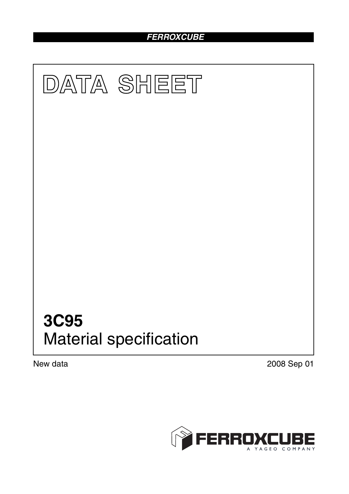# *FERROXCUBE*



New data 2008 Sep 01

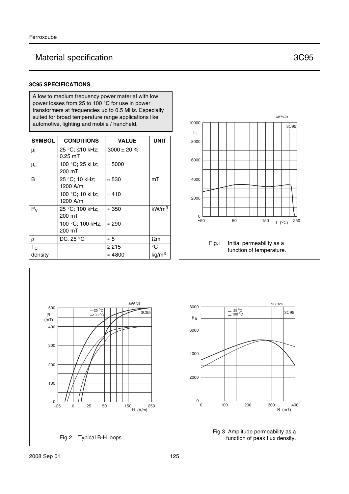## Material specification **3C95**

### **3C95 SPECIFICATIONS**

A low to medium frequency power material with low power losses from 25 to 100 °C for use in power transformers at frequencies up to 0.5 MHz. Especially suited for broad temperature range applications like automotive, lighting and mobile / handheld.

| <b>SYMBOL</b>      | <b>CONDITIONS</b>            | <b>VALUE</b>     | UNIT              |
|--------------------|------------------------------|------------------|-------------------|
| μ <sub>i</sub>     | 25 °C; ≤10 kHz;<br>$0.25$ mT | $3000 \pm 20 \%$ |                   |
| $\mu_{\mathbf{a}}$ | 100 °C; 25 kHz;<br>200 mT    | $\approx 5000$   |                   |
| B                  | 25 °C; 10 kHz;<br>1200 A/m   | $\approx 530$    | mT                |
|                    | 100 °C; 10 kHz;<br>1200 A/m  | $\approx 410$    |                   |
| $P_V$              | 25 °C; 100 kHz;<br>200 mT    | $\approx 350$    | kW/m <sup>3</sup> |
|                    | 100 °C; 100 kHz;<br>200 mT   | $\approx$ 290    |                   |
| ρ                  | DC, 25 °C                    | $\approx 5$      | $\Omega$ m        |
| $T_{\rm C}$        |                              | $\geq$ 215       | °C                |
| density            |                              | $\approx 4800$   | kg/m <sup>3</sup> |





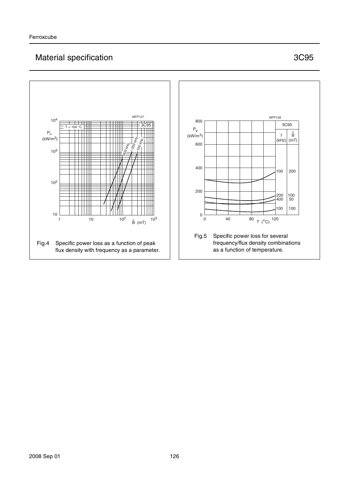## Material specification **3C95**